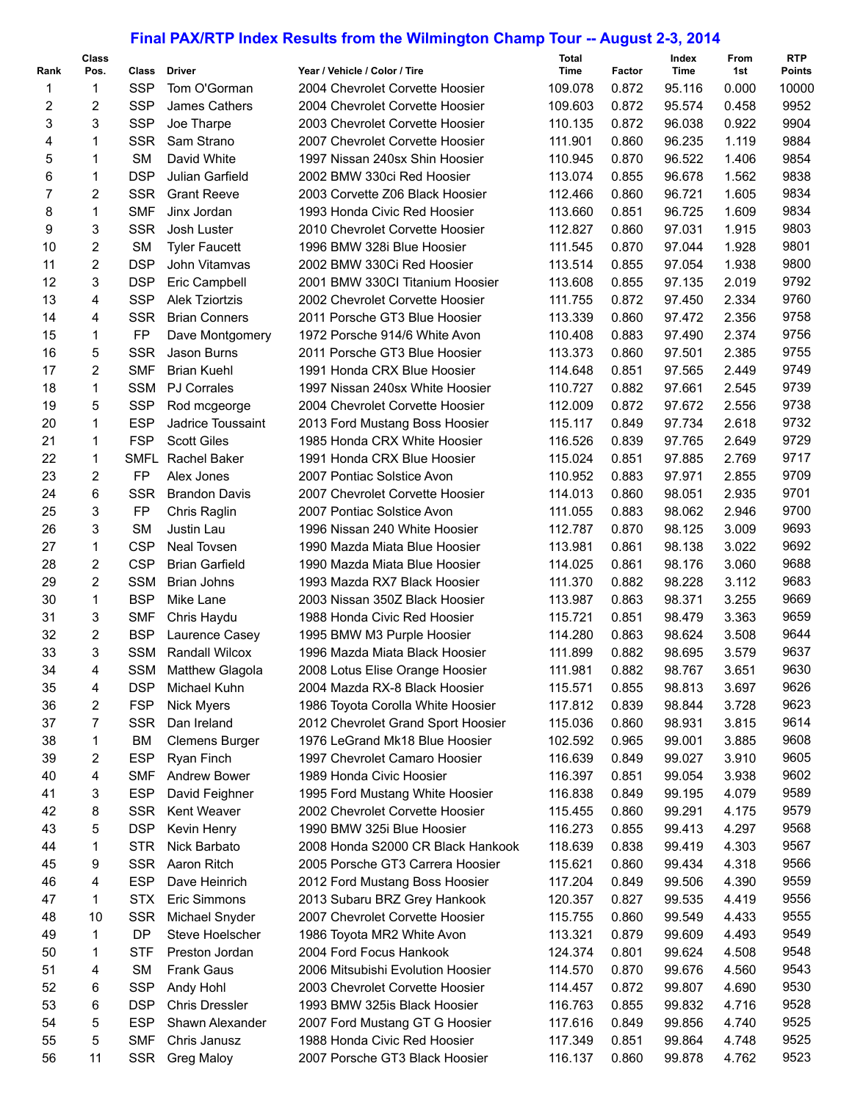## **Final PAX/RTP Index Results from the Wilmington Champ Tour -- August 2-3, 2014**

| Rank                    | Class<br>Pos.           | Class       | <b>Driver</b>                        | Year / Vehicle / Color / Tire      | Total<br>Time | Factor | Index<br>Time    | From<br>1st | <b>RTP</b><br><b>Points</b> |
|-------------------------|-------------------------|-------------|--------------------------------------|------------------------------------|---------------|--------|------------------|-------------|-----------------------------|
| 1                       | 1                       | <b>SSP</b>  | Tom O'Gorman                         | 2004 Chevrolet Corvette Hoosier    | 109.078       | 0.872  | 95.116           | 0.000       | 10000                       |
| $\overline{\mathbf{c}}$ | $\overline{c}$          | <b>SSP</b>  | James Cathers                        | 2004 Chevrolet Corvette Hoosier    | 109.603       | 0.872  | 95.574           | 0.458       | 9952                        |
| 3                       | 3                       | <b>SSP</b>  | Joe Tharpe                           | 2003 Chevrolet Corvette Hoosier    | 110.135       | 0.872  | 96.038           | 0.922       | 9904                        |
| 4                       | 1                       | <b>SSR</b>  | Sam Strano                           | 2007 Chevrolet Corvette Hoosier    | 111.901       | 0.860  | 96.235           | 1.119       | 9884                        |
| 5                       | 1                       | <b>SM</b>   | David White                          | 1997 Nissan 240sx Shin Hoosier     | 110.945       | 0.870  | 96.522           | 1.406       | 9854                        |
| 6                       | $\mathbf{1}$            | <b>DSP</b>  | Julian Garfield                      | 2002 BMW 330ci Red Hoosier         | 113.074       | 0.855  | 96.678           | 1.562       | 9838                        |
| 7                       | 2                       | <b>SSR</b>  | <b>Grant Reeve</b>                   | 2003 Corvette Z06 Black Hoosier    | 112.466       | 0.860  | 96.721           | 1.605       | 9834                        |
| 8                       | $\mathbf{1}$            | <b>SMF</b>  | Jinx Jordan                          | 1993 Honda Civic Red Hoosier       | 113.660       | 0.851  | 96.725           | 1.609       | 9834                        |
| 9                       | 3                       | <b>SSR</b>  | Josh Luster                          | 2010 Chevrolet Corvette Hoosier    | 112.827       | 0.860  | 97.031           | 1.915       | 9803                        |
| 10                      | $\overline{\mathbf{c}}$ | <b>SM</b>   | <b>Tyler Faucett</b>                 | 1996 BMW 328i Blue Hoosier         | 111.545       | 0.870  | 97.044           | 1.928       | 9801                        |
| 11                      | $\overline{c}$          | <b>DSP</b>  | John Vitamvas                        | 2002 BMW 330Ci Red Hoosier         | 113.514       | 0.855  | 97.054           | 1.938       | 9800                        |
| 12                      | 3                       | <b>DSP</b>  | Eric Campbell                        | 2001 BMW 330CI Titanium Hoosier    | 113.608       | 0.855  | 97.135           | 2.019       | 9792                        |
| 13                      | 4                       | <b>SSP</b>  | <b>Alek Tziortzis</b>                | 2002 Chevrolet Corvette Hoosier    | 111.755       | 0.872  | 97.450           | 2.334       | 9760                        |
| 14                      | 4                       | <b>SSR</b>  | <b>Brian Conners</b>                 | 2011 Porsche GT3 Blue Hoosier      | 113.339       | 0.860  | 97.472           | 2.356       | 9758                        |
| 15                      | 1                       | <b>FP</b>   | Dave Montgomery                      | 1972 Porsche 914/6 White Avon      | 110.408       | 0.883  | 97.490           | 2.374       | 9756                        |
| 16                      | 5                       | <b>SSR</b>  | Jason Burns                          | 2011 Porsche GT3 Blue Hoosier      | 113.373       | 0.860  | 97.501           | 2.385       | 9755                        |
| 17                      | $\overline{2}$          | <b>SMF</b>  | <b>Brian Kuehl</b>                   | 1991 Honda CRX Blue Hoosier        | 114.648       | 0.851  | 97.565           | 2.449       | 9749                        |
| 18                      | 1                       | <b>SSM</b>  | <b>PJ Corrales</b>                   | 1997 Nissan 240sx White Hoosier    | 110.727       | 0.882  | 97.661           | 2.545       | 9739                        |
| 19                      | 5                       | <b>SSP</b>  | Rod mcgeorge                         | 2004 Chevrolet Corvette Hoosier    | 112.009       | 0.872  | 97.672           | 2.556       | 9738                        |
| 20                      | 1                       | <b>ESP</b>  | Jadrice Toussaint                    | 2013 Ford Mustang Boss Hoosier     | 115.117       | 0.849  | 97.734           | 2.618       | 9732                        |
| 21                      | 1                       | <b>FSP</b>  | <b>Scott Giles</b>                   | 1985 Honda CRX White Hoosier       | 116.526       | 0.839  | 97.765           | 2.649       | 9729                        |
| 22                      | 1                       | <b>SMFL</b> | Rachel Baker                         | 1991 Honda CRX Blue Hoosier        | 115.024       | 0.851  | 97.885           | 2.769       | 9717                        |
| 23                      | $\overline{c}$          | <b>FP</b>   | Alex Jones                           | 2007 Pontiac Solstice Avon         | 110.952       | 0.883  | 97.971           | 2.855       | 9709                        |
| 24                      | 6                       | <b>SSR</b>  | <b>Brandon Davis</b>                 | 2007 Chevrolet Corvette Hoosier    | 114.013       | 0.860  | 98.051           | 2.935       | 9701                        |
| 25                      | 3                       | <b>FP</b>   | Chris Raglin                         | 2007 Pontiac Solstice Avon         | 111.055       | 0.883  | 98.062           | 2.946       | 9700                        |
| 26                      | 3                       | <b>SM</b>   | Justin Lau                           | 1996 Nissan 240 White Hoosier      | 112.787       | 0.870  | 98.125           | 3.009       | 9693                        |
| 27                      | 1                       | <b>CSP</b>  | Neal Tovsen                          | 1990 Mazda Miata Blue Hoosier      | 113.981       | 0.861  | 98.138           | 3.022       | 9692                        |
| 28                      | $\overline{c}$          | <b>CSP</b>  | <b>Brian Garfield</b>                | 1990 Mazda Miata Blue Hoosier      | 114.025       | 0.861  | 98.176           | 3.060       | 9688                        |
| 29                      | $\overline{2}$          | <b>SSM</b>  | <b>Brian Johns</b>                   | 1993 Mazda RX7 Black Hoosier       | 111.370       | 0.882  | 98.228           | 3.112       | 9683                        |
| 30                      | 1                       | <b>BSP</b>  | Mike Lane                            | 2003 Nissan 350Z Black Hoosier     | 113.987       | 0.863  | 98.371           | 3.255       | 9669                        |
| 31                      | 3                       | <b>SMF</b>  | Chris Haydu                          | 1988 Honda Civic Red Hoosier       | 115.721       | 0.851  | 98.479           | 3.363       | 9659                        |
| 32                      | 2                       | <b>BSP</b>  | Laurence Casey                       | 1995 BMW M3 Purple Hoosier         | 114.280       | 0.863  | 98.624           | 3.508       | 9644                        |
| 33                      | 3                       | <b>SSM</b>  | Randall Wilcox                       | 1996 Mazda Miata Black Hoosier     | 111.899       | 0.882  | 98.695           | 3.579       | 9637                        |
| 34                      | 4                       | <b>SSM</b>  | Matthew Glagola                      | 2008 Lotus Elise Orange Hoosier    | 111.981       | 0.882  | 98.767           | 3.651       | 9630                        |
| 35                      | 4                       | <b>DSP</b>  | Michael Kuhn                         | 2004 Mazda RX-8 Black Hoosier      | 115.571       | 0.855  | 98.813           | 3.697       | 9626                        |
| 36                      | 2                       | <b>FSP</b>  | <b>Nick Myers</b>                    | 1986 Toyota Corolla White Hoosier  | 117.812       | 0.839  | 98.844           | 3.728       | 9623                        |
| 37                      | 7                       | <b>SSR</b>  |                                      | 2012 Chevrolet Grand Sport Hoosier | 115.036       | 0.860  |                  | 3.815       | 9614                        |
| 38                      | 1                       | BM          | Dan Ireland<br><b>Clemens Burger</b> | 1976 LeGrand Mk18 Blue Hoosier     | 102.592       | 0.965  | 98.931<br>99.001 | 3.885       | 9608                        |
| 39                      | 2                       | <b>ESP</b>  | Ryan Finch                           | 1997 Chevrolet Camaro Hoosier      | 116.639       | 0.849  | 99.027           | 3.910       | 9605                        |
| 40                      | 4                       | <b>SMF</b>  | Andrew Bower                         | 1989 Honda Civic Hoosier           | 116.397       | 0.851  | 99.054           | 3.938       | 9602                        |
| 41                      | 3                       | <b>ESP</b>  | David Feighner                       | 1995 Ford Mustang White Hoosier    | 116.838       | 0.849  | 99.195           | 4.079       | 9589                        |
| 42                      | 8                       | <b>SSR</b>  | Kent Weaver                          | 2002 Chevrolet Corvette Hoosier    | 115.455       | 0.860  | 99.291           | 4.175       | 9579                        |
| 43                      | 5                       | <b>DSP</b>  | Kevin Henry                          | 1990 BMW 325i Blue Hoosier         | 116.273       | 0.855  | 99.413           | 4.297       | 9568                        |
| 44                      | 1                       | <b>STR</b>  | Nick Barbato                         | 2008 Honda S2000 CR Black Hankook  | 118.639       | 0.838  | 99.419           | 4.303       | 9567                        |
| 45                      | 9                       | <b>SSR</b>  | Aaron Ritch                          | 2005 Porsche GT3 Carrera Hoosier   | 115.621       | 0.860  | 99.434           | 4.318       | 9566                        |
| 46                      | 4                       | <b>ESP</b>  | Dave Heinrich                        | 2012 Ford Mustang Boss Hoosier     | 117.204       | 0.849  | 99.506           | 4.390       | 9559                        |
| 47                      | 1                       | <b>STX</b>  | Eric Simmons                         | 2013 Subaru BRZ Grey Hankook       | 120.357       | 0.827  | 99.535           | 4.419       | 9556                        |
| 48                      | 10                      | <b>SSR</b>  | Michael Snyder                       | 2007 Chevrolet Corvette Hoosier    | 115.755       | 0.860  | 99.549           | 4.433       | 9555                        |
| 49                      | 1                       | DP          | Steve Hoelscher                      | 1986 Toyota MR2 White Avon         | 113.321       | 0.879  | 99.609           | 4.493       | 9549                        |
| 50                      | 1                       | <b>STF</b>  | Preston Jordan                       | 2004 Ford Focus Hankook            | 124.374       | 0.801  | 99.624           | 4.508       | 9548                        |
| 51                      | 4                       | <b>SM</b>   | <b>Frank Gaus</b>                    | 2006 Mitsubishi Evolution Hoosier  | 114.570       | 0.870  | 99.676           | 4.560       | 9543                        |
| 52                      | 6                       | <b>SSP</b>  | Andy Hohl                            | 2003 Chevrolet Corvette Hoosier    | 114.457       | 0.872  | 99.807           | 4.690       | 9530                        |
| 53                      | 6                       | <b>DSP</b>  | <b>Chris Dressler</b>                | 1993 BMW 325is Black Hoosier       | 116.763       | 0.855  | 99.832           | 4.716       | 9528                        |
| 54                      | 5                       | <b>ESP</b>  | Shawn Alexander                      | 2007 Ford Mustang GT G Hoosier     | 117.616       | 0.849  | 99.856           | 4.740       | 9525                        |
| 55                      | 5                       | <b>SMF</b>  | Chris Janusz                         | 1988 Honda Civic Red Hoosier       | 117.349       | 0.851  | 99.864           | 4.748       | 9525                        |
| 56                      | 11                      | <b>SSR</b>  | Greg Maloy                           | 2007 Porsche GT3 Black Hoosier     | 116.137       | 0.860  | 99.878           | 4.762       | 9523                        |
|                         |                         |             |                                      |                                    |               |        |                  |             |                             |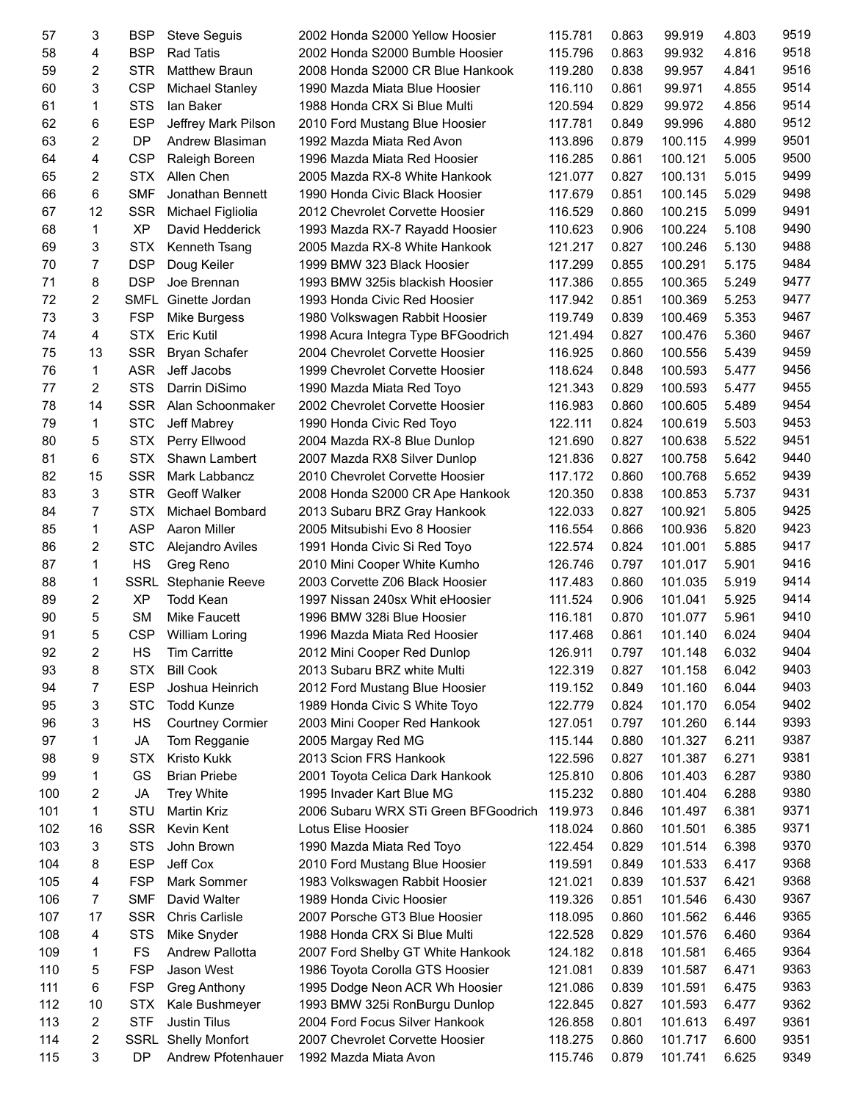| 57  | 3              | <b>BSP</b>  | <b>Steve Seguis</b>     | 2002 Honda S2000 Yellow Hoosier      | 115.781 | 0.863 | 99.919  | 4.803 | 9519 |
|-----|----------------|-------------|-------------------------|--------------------------------------|---------|-------|---------|-------|------|
| 58  | 4              | <b>BSP</b>  | <b>Rad Tatis</b>        | 2002 Honda S2000 Bumble Hoosier      | 115.796 | 0.863 | 99.932  | 4.816 | 9518 |
| 59  | 2              | <b>STR</b>  | Matthew Braun           | 2008 Honda S2000 CR Blue Hankook     | 119.280 | 0.838 | 99.957  | 4.841 | 9516 |
| 60  | 3              | <b>CSP</b>  | Michael Stanley         | 1990 Mazda Miata Blue Hoosier        | 116.110 | 0.861 | 99.971  | 4.855 | 9514 |
| 61  | 1              | <b>STS</b>  | lan Baker               | 1988 Honda CRX Si Blue Multi         | 120.594 | 0.829 | 99.972  | 4.856 | 9514 |
| 62  | 6              | <b>ESP</b>  | Jeffrey Mark Pilson     | 2010 Ford Mustang Blue Hoosier       | 117.781 | 0.849 | 99.996  | 4.880 | 9512 |
| 63  | 2              | <b>DP</b>   | Andrew Blasiman         | 1992 Mazda Miata Red Avon            | 113.896 | 0.879 | 100.115 | 4.999 | 9501 |
| 64  | 4              | <b>CSP</b>  | Raleigh Boreen          | 1996 Mazda Miata Red Hoosier         | 116.285 | 0.861 | 100.121 | 5.005 | 9500 |
| 65  | 2              | <b>STX</b>  | Allen Chen              | 2005 Mazda RX-8 White Hankook        | 121.077 | 0.827 | 100.131 | 5.015 | 9499 |
| 66  | 6              | <b>SMF</b>  | Jonathan Bennett        | 1990 Honda Civic Black Hoosier       | 117.679 | 0.851 | 100.145 | 5.029 | 9498 |
| 67  | 12             | <b>SSR</b>  | Michael Figliolia       | 2012 Chevrolet Corvette Hoosier      | 116.529 | 0.860 | 100.215 | 5.099 | 9491 |
| 68  | 1              | <b>XP</b>   | David Hedderick         | 1993 Mazda RX-7 Rayadd Hoosier       | 110.623 | 0.906 | 100.224 | 5.108 | 9490 |
| 69  | 3              | <b>STX</b>  | Kenneth Tsang           | 2005 Mazda RX-8 White Hankook        | 121.217 | 0.827 | 100.246 | 5.130 | 9488 |
| 70  | $\overline{7}$ | <b>DSP</b>  | Doug Keiler             | 1999 BMW 323 Black Hoosier           | 117.299 | 0.855 | 100.291 | 5.175 | 9484 |
| 71  | 8              | <b>DSP</b>  | Joe Brennan             | 1993 BMW 325is blackish Hoosier      | 117.386 | 0.855 | 100.365 | 5.249 | 9477 |
| 72  | 2              | <b>SMFL</b> | Ginette Jordan          | 1993 Honda Civic Red Hoosier         |         | 0.851 | 100.369 | 5.253 | 9477 |
|     |                |             |                         |                                      | 117.942 |       |         |       |      |
| 73  | 3              | <b>FSP</b>  | Mike Burgess            | 1980 Volkswagen Rabbit Hoosier       | 119.749 | 0.839 | 100.469 | 5.353 | 9467 |
| 74  | 4              | <b>STX</b>  | <b>Eric Kutil</b>       | 1998 Acura Integra Type BFGoodrich   | 121.494 | 0.827 | 100.476 | 5.360 | 9467 |
| 75  | 13             | <b>SSR</b>  | Bryan Schafer           | 2004 Chevrolet Corvette Hoosier      | 116.925 | 0.860 | 100.556 | 5.439 | 9459 |
| 76  | 1              | <b>ASR</b>  | Jeff Jacobs             | 1999 Chevrolet Corvette Hoosier      | 118.624 | 0.848 | 100.593 | 5.477 | 9456 |
| 77  | $\overline{2}$ | <b>STS</b>  | Darrin DiSimo           | 1990 Mazda Miata Red Toyo            | 121.343 | 0.829 | 100.593 | 5.477 | 9455 |
| 78  | 14             | <b>SSR</b>  | Alan Schoonmaker        | 2002 Chevrolet Corvette Hoosier      | 116.983 | 0.860 | 100.605 | 5.489 | 9454 |
| 79  | 1              | <b>STC</b>  | Jeff Mabrey             | 1990 Honda Civic Red Toyo            | 122.111 | 0.824 | 100.619 | 5.503 | 9453 |
| 80  | 5              | <b>STX</b>  | Perry Ellwood           | 2004 Mazda RX-8 Blue Dunlop          | 121.690 | 0.827 | 100.638 | 5.522 | 9451 |
| 81  | 6              | <b>STX</b>  | Shawn Lambert           | 2007 Mazda RX8 Silver Dunlop         | 121.836 | 0.827 | 100.758 | 5.642 | 9440 |
| 82  | 15             | <b>SSR</b>  | Mark Labbancz           | 2010 Chevrolet Corvette Hoosier      | 117.172 | 0.860 | 100.768 | 5.652 | 9439 |
| 83  | 3              | <b>STR</b>  | <b>Geoff Walker</b>     | 2008 Honda S2000 CR Ape Hankook      | 120.350 | 0.838 | 100.853 | 5.737 | 9431 |
| 84  | 7              | <b>STX</b>  | Michael Bombard         | 2013 Subaru BRZ Gray Hankook         | 122.033 | 0.827 | 100.921 | 5.805 | 9425 |
| 85  | 1              | <b>ASP</b>  | Aaron Miller            | 2005 Mitsubishi Evo 8 Hoosier        | 116.554 | 0.866 | 100.936 | 5.820 | 9423 |
| 86  | 2              | <b>STC</b>  | Alejandro Aviles        | 1991 Honda Civic Si Red Toyo         | 122.574 | 0.824 | 101.001 | 5.885 | 9417 |
| 87  | 1              | <b>HS</b>   | Greg Reno               | 2010 Mini Cooper White Kumho         | 126.746 | 0.797 | 101.017 | 5.901 | 9416 |
| 88  | 1              | SSRL        | Stephanie Reeve         | 2003 Corvette Z06 Black Hoosier      | 117.483 | 0.860 | 101.035 | 5.919 | 9414 |
| 89  | 2              | <b>XP</b>   | <b>Todd Kean</b>        | 1997 Nissan 240sx Whit eHoosier      | 111.524 | 0.906 | 101.041 | 5.925 | 9414 |
| 90  | 5              | <b>SM</b>   | Mike Faucett            | 1996 BMW 328i Blue Hoosier           | 116.181 | 0.870 | 101.077 | 5.961 | 9410 |
| 91  | 5              | <b>CSP</b>  | <b>William Loring</b>   | 1996 Mazda Miata Red Hoosier         | 117.468 | 0.861 | 101.140 | 6.024 | 9404 |
| 92  | 2              | <b>HS</b>   | Tim Carritte            | 2012 Mini Cooper Red Dunlop          | 126.911 | 0.797 | 101.148 | 6.032 | 9404 |
| 93  | 8              | <b>STX</b>  | <b>Bill Cook</b>        | 2013 Subaru BRZ white Multi          | 122.319 | 0.827 | 101.158 | 6.042 | 9403 |
| 94  | 7              | <b>ESP</b>  | Joshua Heinrich         | 2012 Ford Mustang Blue Hoosier       | 119.152 | 0.849 | 101.160 | 6.044 | 9403 |
|     | 3              |             |                         | 1989 Honda Civic S White Toyo        |         |       | 101.170 | 6.054 | 9402 |
| 95  |                | <b>STC</b>  | <b>Todd Kunze</b>       |                                      | 122.779 | 0.824 |         |       |      |
| 96  | 3              | HS          | <b>Courtney Cormier</b> | 2003 Mini Cooper Red Hankook         | 127.051 | 0.797 | 101.260 | 6.144 | 9393 |
| 97  | 1              | JA          | Tom Regganie            | 2005 Margay Red MG                   | 115.144 | 0.880 | 101.327 | 6.211 | 9387 |
| 98  | 9              | <b>STX</b>  | <b>Kristo Kukk</b>      | 2013 Scion FRS Hankook               | 122.596 | 0.827 | 101.387 | 6.271 | 9381 |
| 99  | 1              | GS          | <b>Brian Priebe</b>     | 2001 Toyota Celica Dark Hankook      | 125.810 | 0.806 | 101.403 | 6.287 | 9380 |
| 100 | 2              | JA          | <b>Trey White</b>       | 1995 Invader Kart Blue MG            | 115.232 | 0.880 | 101.404 | 6.288 | 9380 |
| 101 | 1              | STU         | Martin Kriz             | 2006 Subaru WRX STi Green BFGoodrich | 119.973 | 0.846 | 101.497 | 6.381 | 9371 |
| 102 | 16             | SSR         | Kevin Kent              | Lotus Elise Hoosier                  | 118.024 | 0.860 | 101.501 | 6.385 | 9371 |
| 103 | 3              | <b>STS</b>  | John Brown              | 1990 Mazda Miata Red Toyo            | 122.454 | 0.829 | 101.514 | 6.398 | 9370 |
| 104 | 8              | <b>ESP</b>  | Jeff Cox                | 2010 Ford Mustang Blue Hoosier       | 119.591 | 0.849 | 101.533 | 6.417 | 9368 |
| 105 | 4              | <b>FSP</b>  | Mark Sommer             | 1983 Volkswagen Rabbit Hoosier       | 121.021 | 0.839 | 101.537 | 6.421 | 9368 |
| 106 | 7              | <b>SMF</b>  | David Walter            | 1989 Honda Civic Hoosier             | 119.326 | 0.851 | 101.546 | 6.430 | 9367 |
| 107 | 17             | SSR         | Chris Carlisle          | 2007 Porsche GT3 Blue Hoosier        | 118.095 | 0.860 | 101.562 | 6.446 | 9365 |
| 108 | 4              | <b>STS</b>  | Mike Snyder             | 1988 Honda CRX Si Blue Multi         | 122.528 | 0.829 | 101.576 | 6.460 | 9364 |
| 109 | 1              | FS          | <b>Andrew Pallotta</b>  | 2007 Ford Shelby GT White Hankook    | 124.182 | 0.818 | 101.581 | 6.465 | 9364 |
| 110 | 5              | <b>FSP</b>  | Jason West              | 1986 Toyota Corolla GTS Hoosier      | 121.081 | 0.839 | 101.587 | 6.471 | 9363 |
| 111 | 6              | <b>FSP</b>  | <b>Greg Anthony</b>     | 1995 Dodge Neon ACR Wh Hoosier       | 121.086 | 0.839 | 101.591 | 6.475 | 9363 |
| 112 | 10             | <b>STX</b>  | Kale Bushmeyer          | 1993 BMW 325i RonBurgu Dunlop        | 122.845 | 0.827 | 101.593 | 6.477 | 9362 |
| 113 | 2              | <b>STF</b>  | Justin Tilus            | 2004 Ford Focus Silver Hankook       | 126.858 | 0.801 | 101.613 | 6.497 | 9361 |
| 114 | 2              | SSRL        | <b>Shelly Monfort</b>   | 2007 Chevrolet Corvette Hoosier      | 118.275 | 0.860 | 101.717 | 6.600 | 9351 |
| 115 | 3              | DP          | Andrew Pfotenhauer      | 1992 Mazda Miata Avon                | 115.746 | 0.879 | 101.741 | 6.625 | 9349 |
|     |                |             |                         |                                      |         |       |         |       |      |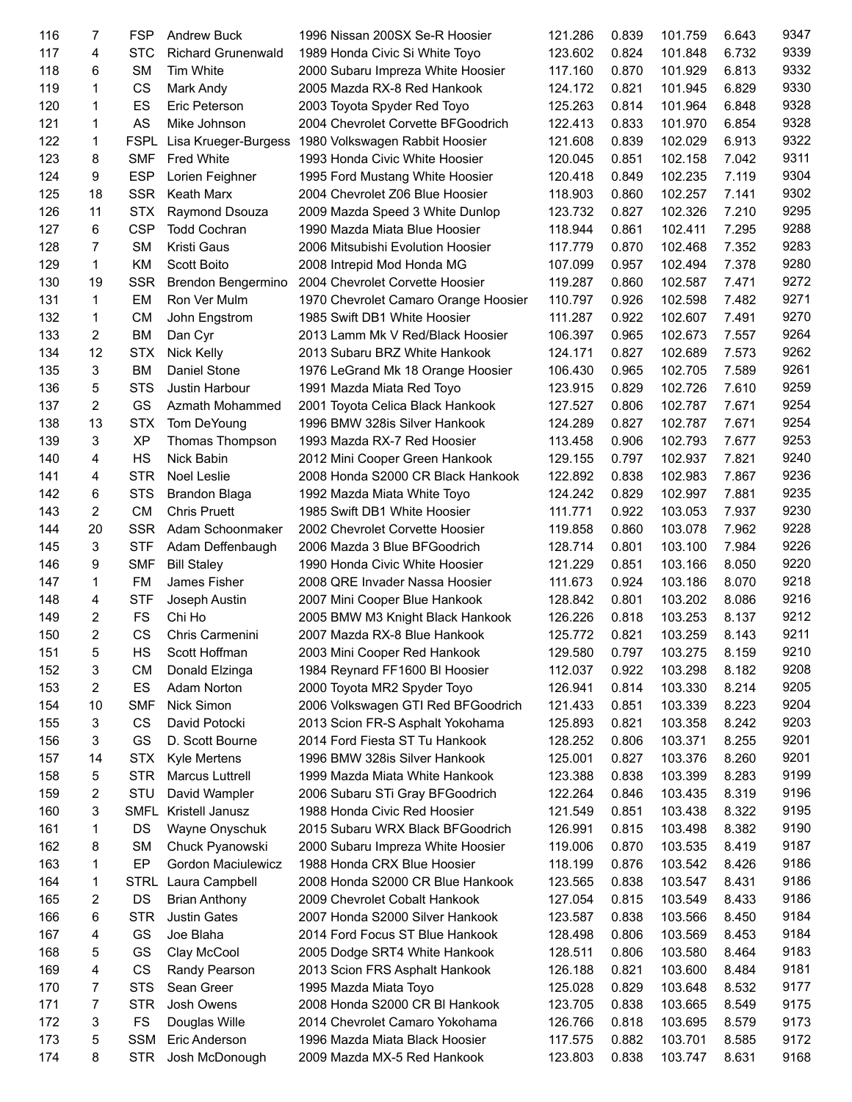| 116 | 7              | FSP.        | <b>Andrew Buck</b>        | 1996 Nissan 200SX Se-R Hoosier                      | 121.286 | 0.839 | 101.759 | 6.643 | 9347 |
|-----|----------------|-------------|---------------------------|-----------------------------------------------------|---------|-------|---------|-------|------|
| 117 | 4              | <b>STC</b>  | <b>Richard Grunenwald</b> | 1989 Honda Civic Si White Toyo                      | 123.602 | 0.824 | 101.848 | 6.732 | 9339 |
| 118 | 6              | <b>SM</b>   | Tim White                 | 2000 Subaru Impreza White Hoosier                   | 117.160 | 0.870 | 101.929 | 6.813 | 9332 |
| 119 | 1              | <b>CS</b>   | Mark Andy                 | 2005 Mazda RX-8 Red Hankook                         | 124.172 | 0.821 | 101.945 | 6.829 | 9330 |
| 120 | 1              | ES          | Eric Peterson             | 2003 Toyota Spyder Red Toyo                         | 125.263 | 0.814 | 101.964 | 6.848 | 9328 |
| 121 | 1              | AS          | Mike Johnson              | 2004 Chevrolet Corvette BFGoodrich                  | 122.413 | 0.833 | 101.970 | 6.854 | 9328 |
| 122 | 1              | <b>FSPL</b> |                           | Lisa Krueger-Burgess 1980 Volkswagen Rabbit Hoosier | 121.608 | 0.839 | 102.029 | 6.913 | 9322 |
| 123 | 8              | <b>SMF</b>  | <b>Fred White</b>         | 1993 Honda Civic White Hoosier                      | 120.045 | 0.851 | 102.158 | 7.042 | 9311 |
| 124 | 9              | <b>ESP</b>  | Lorien Feighner           |                                                     | 120.418 | 0.849 | 102.235 | 7.119 | 9304 |
|     |                |             |                           | 1995 Ford Mustang White Hoosier                     |         |       |         |       | 9302 |
| 125 | 18             | <b>SSR</b>  | Keath Marx                | 2004 Chevrolet Z06 Blue Hoosier                     | 118.903 | 0.860 | 102.257 | 7.141 |      |
| 126 | 11             | <b>STX</b>  | Raymond Dsouza            | 2009 Mazda Speed 3 White Dunlop                     | 123.732 | 0.827 | 102.326 | 7.210 | 9295 |
| 127 | 6              | <b>CSP</b>  | <b>Todd Cochran</b>       | 1990 Mazda Miata Blue Hoosier                       | 118.944 | 0.861 | 102.411 | 7.295 | 9288 |
| 128 | 7              | <b>SM</b>   | Kristi Gaus               | 2006 Mitsubishi Evolution Hoosier                   | 117.779 | 0.870 | 102.468 | 7.352 | 9283 |
| 129 | 1              | KM          | Scott Boito               | 2008 Intrepid Mod Honda MG                          | 107.099 | 0.957 | 102.494 | 7.378 | 9280 |
| 130 | 19             | <b>SSR</b>  | Brendon Bengermino        | 2004 Chevrolet Corvette Hoosier                     | 119.287 | 0.860 | 102.587 | 7.471 | 9272 |
| 131 | $\mathbf{1}$   | EM          | Ron Ver Mulm              | 1970 Chevrolet Camaro Orange Hoosier                | 110.797 | 0.926 | 102.598 | 7.482 | 9271 |
| 132 | 1              | <b>CM</b>   | John Engstrom             | 1985 Swift DB1 White Hoosier                        | 111.287 | 0.922 | 102.607 | 7.491 | 9270 |
| 133 | $\overline{2}$ | <b>BM</b>   | Dan Cyr                   | 2013 Lamm Mk V Red/Black Hoosier                    | 106.397 | 0.965 | 102.673 | 7.557 | 9264 |
| 134 | 12             | <b>STX</b>  | Nick Kelly                | 2013 Subaru BRZ White Hankook                       | 124.171 | 0.827 | 102.689 | 7.573 | 9262 |
| 135 | 3              | <b>BM</b>   | Daniel Stone              | 1976 LeGrand Mk 18 Orange Hoosier                   | 106.430 | 0.965 | 102.705 | 7.589 | 9261 |
| 136 | 5              | <b>STS</b>  | Justin Harbour            | 1991 Mazda Miata Red Toyo                           | 123.915 | 0.829 | 102.726 | 7.610 | 9259 |
| 137 | 2              | GS          | Azmath Mohammed           | 2001 Toyota Celica Black Hankook                    | 127.527 | 0.806 | 102.787 | 7.671 | 9254 |
| 138 | 13             | <b>STX</b>  | Tom DeYoung               | 1996 BMW 328is Silver Hankook                       | 124.289 | 0.827 | 102.787 | 7.671 | 9254 |
| 139 | 3              | <b>XP</b>   | Thomas Thompson           | 1993 Mazda RX-7 Red Hoosier                         | 113.458 | 0.906 | 102.793 | 7.677 | 9253 |
| 140 | 4              | <b>HS</b>   | Nick Babin                | 2012 Mini Cooper Green Hankook                      | 129.155 | 0.797 | 102.937 | 7.821 | 9240 |
| 141 | 4              | <b>STR</b>  | <b>Noel Leslie</b>        | 2008 Honda S2000 CR Black Hankook                   | 122.892 | 0.838 | 102.983 | 7.867 | 9236 |
| 142 | 6              | <b>STS</b>  | <b>Brandon Blaga</b>      | 1992 Mazda Miata White Toyo                         | 124.242 | 0.829 | 102.997 | 7.881 | 9235 |
| 143 | 2              | <b>CM</b>   | <b>Chris Pruett</b>       |                                                     |         | 0.922 | 103.053 | 7.937 | 9230 |
|     |                |             |                           | 1985 Swift DB1 White Hoosier                        | 111.771 |       |         |       | 9228 |
| 144 | 20             | <b>SSR</b>  | Adam Schoonmaker          | 2002 Chevrolet Corvette Hoosier                     | 119.858 | 0.860 | 103.078 | 7.962 |      |
| 145 | 3              | <b>STF</b>  | Adam Deffenbaugh          | 2006 Mazda 3 Blue BFGoodrich                        | 128.714 | 0.801 | 103.100 | 7.984 | 9226 |
| 146 | 9              | <b>SMF</b>  | <b>Bill Staley</b>        | 1990 Honda Civic White Hoosier                      | 121.229 | 0.851 | 103.166 | 8.050 | 9220 |
| 147 | 1              | <b>FM</b>   | James Fisher              | 2008 QRE Invader Nassa Hoosier                      | 111.673 | 0.924 | 103.186 | 8.070 | 9218 |
| 148 | 4              | <b>STF</b>  | Joseph Austin             | 2007 Mini Cooper Blue Hankook                       | 128.842 | 0.801 | 103.202 | 8.086 | 9216 |
| 149 | $\overline{2}$ | <b>FS</b>   | Chi Ho                    | 2005 BMW M3 Knight Black Hankook                    | 126.226 | 0.818 | 103.253 | 8.137 | 9212 |
| 150 | $\overline{2}$ | <b>CS</b>   | Chris Carmenini           | 2007 Mazda RX-8 Blue Hankook                        | 125.772 | 0.821 | 103.259 | 8.143 | 9211 |
| 151 | 5              | <b>HS</b>   | Scott Hoffman             | 2003 Mini Cooper Red Hankook                        | 129.580 | 0.797 | 103.275 | 8.159 | 9210 |
| 152 | 3              | СM          | Donald Elzinga            | 1984 Reynard FF1600 BI Hoosier                      | 112.037 | 0.922 | 103.298 | 8.182 | 9208 |
| 153 | 2              | ES          | Adam Norton               | 2000 Toyota MR2 Spyder Toyo                         | 126.941 | 0.814 | 103.330 | 8.214 | 9205 |
| 154 | 10             | <b>SMF</b>  | Nick Simon                | 2006 Volkswagen GTI Red BFGoodrich                  | 121.433 | 0.851 | 103.339 | 8.223 | 9204 |
| 155 | 3              | CS          | David Potocki             | 2013 Scion FR-S Asphalt Yokohama                    | 125.893 | 0.821 | 103.358 | 8.242 | 9203 |
| 156 | 3              | GS          | D. Scott Bourne           | 2014 Ford Fiesta ST Tu Hankook                      | 128.252 | 0.806 | 103.371 | 8.255 | 9201 |
| 157 | 14             | <b>STX</b>  | <b>Kyle Mertens</b>       | 1996 BMW 328is Silver Hankook                       | 125.001 | 0.827 | 103.376 | 8.260 | 9201 |
| 158 | 5              | <b>STR</b>  | Marcus Luttrell           | 1999 Mazda Miata White Hankook                      | 123.388 | 0.838 | 103.399 | 8.283 | 9199 |
| 159 | 2              | STU         | David Wampler             | 2006 Subaru STi Gray BFGoodrich                     | 122.264 | 0.846 | 103.435 | 8.319 | 9196 |
| 160 | 3              | <b>SMFL</b> | Kristell Janusz           | 1988 Honda Civic Red Hoosier                        | 121.549 | 0.851 | 103.438 | 8.322 | 9195 |
| 161 | 1              | DS          | Wayne Onyschuk            | 2015 Subaru WRX Black BFGoodrich                    | 126.991 | 0.815 | 103.498 | 8.382 | 9190 |
| 162 | 8              | <b>SM</b>   | Chuck Pyanowski           | 2000 Subaru Impreza White Hoosier                   | 119.006 | 0.870 | 103.535 | 8.419 | 9187 |
| 163 | 1              | EP          | Gordon Maciulewicz        | 1988 Honda CRX Blue Hoosier                         | 118.199 | 0.876 | 103.542 | 8.426 | 9186 |
| 164 | 1              |             |                           |                                                     |         |       |         |       | 9186 |
|     |                | <b>STRL</b> | Laura Campbell            | 2008 Honda S2000 CR Blue Hankook                    | 123.565 | 0.838 | 103.547 | 8.431 | 9186 |
| 165 | 2              | DS          | <b>Brian Anthony</b>      | 2009 Chevrolet Cobalt Hankook                       | 127.054 | 0.815 | 103.549 | 8.433 |      |
| 166 | 6              | <b>STR</b>  | <b>Justin Gates</b>       | 2007 Honda S2000 Silver Hankook                     | 123.587 | 0.838 | 103.566 | 8.450 | 9184 |
| 167 | 4              | GS          | Joe Blaha                 | 2014 Ford Focus ST Blue Hankook                     | 128.498 | 0.806 | 103.569 | 8.453 | 9184 |
| 168 | 5              | GS          | Clay McCool               | 2005 Dodge SRT4 White Hankook                       | 128.511 | 0.806 | 103.580 | 8.464 | 9183 |
| 169 | 4              | CS          | Randy Pearson             | 2013 Scion FRS Asphalt Hankook                      | 126.188 | 0.821 | 103.600 | 8.484 | 9181 |
| 170 | 7              | <b>STS</b>  | Sean Greer                | 1995 Mazda Miata Toyo                               | 125.028 | 0.829 | 103.648 | 8.532 | 9177 |
| 171 | 7              | <b>STR</b>  | Josh Owens                | 2008 Honda S2000 CR BI Hankook                      | 123.705 | 0.838 | 103.665 | 8.549 | 9175 |
| 172 | 3              | FS          | Douglas Wille             | 2014 Chevrolet Camaro Yokohama                      | 126.766 | 0.818 | 103.695 | 8.579 | 9173 |
| 173 | 5              | <b>SSM</b>  | Eric Anderson             | 1996 Mazda Miata Black Hoosier                      | 117.575 | 0.882 | 103.701 | 8.585 | 9172 |
| 174 | 8              | <b>STR</b>  | Josh McDonough            | 2009 Mazda MX-5 Red Hankook                         | 123.803 | 0.838 | 103.747 | 8.631 | 9168 |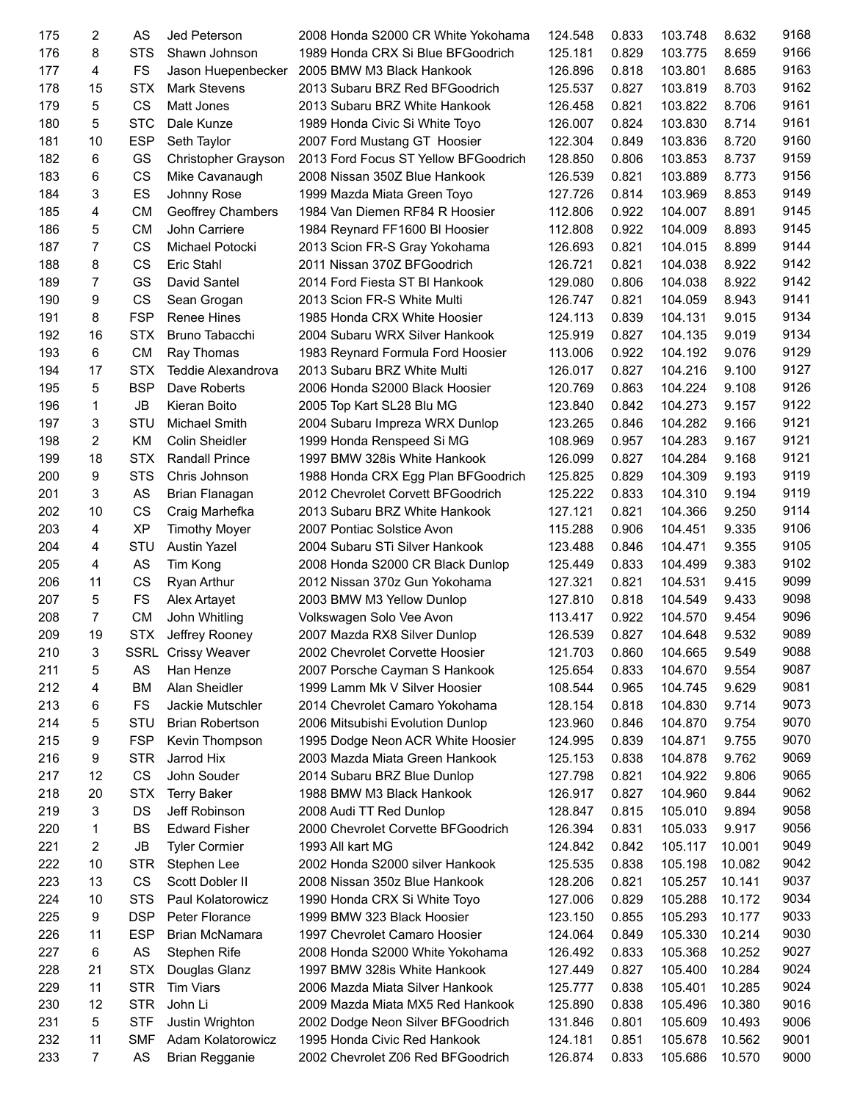| 175 | 2              | AS         | Jed Peterson           | 2008 Honda S2000 CR White Yokohama   | 124.548 | 0.833 | 103.748 | 8.632  | 9168 |
|-----|----------------|------------|------------------------|--------------------------------------|---------|-------|---------|--------|------|
| 176 | 8              | <b>STS</b> | Shawn Johnson          | 1989 Honda CRX Si Blue BFGoodrich    | 125.181 | 0.829 | 103.775 | 8.659  | 9166 |
| 177 | 4              | <b>FS</b>  | Jason Huepenbecker     | 2005 BMW M3 Black Hankook            | 126.896 | 0.818 | 103.801 | 8.685  | 9163 |
| 178 | 15             | <b>STX</b> | <b>Mark Stevens</b>    | 2013 Subaru BRZ Red BFGoodrich       | 125.537 | 0.827 | 103.819 | 8.703  | 9162 |
| 179 | 5              | <b>CS</b>  | Matt Jones             | 2013 Subaru BRZ White Hankook        | 126.458 | 0.821 | 103.822 | 8.706  | 9161 |
| 180 | 5              | <b>STC</b> | Dale Kunze             | 1989 Honda Civic Si White Toyo       | 126.007 | 0.824 | 103.830 | 8.714  | 9161 |
| 181 | 10             | <b>ESP</b> | Seth Taylor            | 2007 Ford Mustang GT Hoosier         | 122.304 | 0.849 | 103.836 | 8.720  | 9160 |
| 182 | 6              | GS         | Christopher Grayson    | 2013 Ford Focus ST Yellow BFGoodrich | 128.850 | 0.806 | 103.853 | 8.737  | 9159 |
| 183 | 6              | CS         | Mike Cavanaugh         | 2008 Nissan 350Z Blue Hankook        | 126.539 | 0.821 | 103.889 | 8.773  | 9156 |
| 184 | 3              | ES         | Johnny Rose            |                                      |         | 0.814 | 103.969 | 8.853  | 9149 |
|     | 4              |            |                        | 1999 Mazda Miata Green Toyo          | 127.726 |       |         |        | 9145 |
| 185 |                | <b>CM</b>  | Geoffrey Chambers      | 1984 Van Diemen RF84 R Hoosier       | 112.806 | 0.922 | 104.007 | 8.891  |      |
| 186 | 5              | <b>CM</b>  | John Carriere          | 1984 Reynard FF1600 BI Hoosier       | 112.808 | 0.922 | 104.009 | 8.893  | 9145 |
| 187 | 7              | CS         | Michael Potocki        | 2013 Scion FR-S Gray Yokohama        | 126.693 | 0.821 | 104.015 | 8.899  | 9144 |
| 188 | 8              | CS         | Eric Stahl             | 2011 Nissan 370Z BFGoodrich          | 126.721 | 0.821 | 104.038 | 8.922  | 9142 |
| 189 | $\overline{7}$ | GS         | David Santel           | 2014 Ford Fiesta ST BI Hankook       | 129.080 | 0.806 | 104.038 | 8.922  | 9142 |
| 190 | 9              | CS         | Sean Grogan            | 2013 Scion FR-S White Multi          | 126.747 | 0.821 | 104.059 | 8.943  | 9141 |
| 191 | 8              | <b>FSP</b> | Renee Hines            | 1985 Honda CRX White Hoosier         | 124.113 | 0.839 | 104.131 | 9.015  | 9134 |
| 192 | 16             | <b>STX</b> | Bruno Tabacchi         | 2004 Subaru WRX Silver Hankook       | 125.919 | 0.827 | 104.135 | 9.019  | 9134 |
| 193 | 6              | <b>CM</b>  | Ray Thomas             | 1983 Reynard Formula Ford Hoosier    | 113.006 | 0.922 | 104.192 | 9.076  | 9129 |
| 194 | 17             | <b>STX</b> | Teddie Alexandrova     | 2013 Subaru BRZ White Multi          | 126.017 | 0.827 | 104.216 | 9.100  | 9127 |
| 195 | 5              | <b>BSP</b> | Dave Roberts           | 2006 Honda S2000 Black Hoosier       | 120.769 | 0.863 | 104.224 | 9.108  | 9126 |
| 196 | 1              | JB         | Kieran Boito           | 2005 Top Kart SL28 Blu MG            | 123.840 | 0.842 | 104.273 | 9.157  | 9122 |
| 197 | 3              | STU        | Michael Smith          | 2004 Subaru Impreza WRX Dunlop       | 123.265 | 0.846 | 104.282 | 9.166  | 9121 |
| 198 | 2              | KM         | Colin Sheidler         | 1999 Honda Renspeed Si MG            | 108.969 | 0.957 | 104.283 | 9.167  | 9121 |
| 199 | 18             | <b>STX</b> | <b>Randall Prince</b>  | 1997 BMW 328is White Hankook         | 126.099 | 0.827 | 104.284 | 9.168  | 9121 |
| 200 | 9              | <b>STS</b> | Chris Johnson          | 1988 Honda CRX Egg Plan BFGoodrich   | 125.825 | 0.829 | 104.309 | 9.193  | 9119 |
| 201 | 3              | AS         | Brian Flanagan         | 2012 Chevrolet Corvett BFGoodrich    | 125.222 | 0.833 | 104.310 | 9.194  | 9119 |
| 202 | 10             | CS         | Craig Marhefka         | 2013 Subaru BRZ White Hankook        | 127.121 | 0.821 | 104.366 | 9.250  | 9114 |
| 203 | 4              | <b>XP</b>  | <b>Timothy Moyer</b>   | 2007 Pontiac Solstice Avon           | 115.288 | 0.906 | 104.451 | 9.335  | 9106 |
| 204 | 4              | STU        | <b>Austin Yazel</b>    | 2004 Subaru STi Silver Hankook       | 123.488 | 0.846 | 104.471 | 9.355  | 9105 |
| 205 | 4              | AS         | Tim Kong               |                                      |         |       | 104.499 | 9.383  | 9102 |
|     |                |            |                        | 2008 Honda S2000 CR Black Dunlop     | 125.449 | 0.833 |         |        |      |
| 206 | 11             | CS         | Ryan Arthur            | 2012 Nissan 370z Gun Yokohama        | 127.321 | 0.821 | 104.531 | 9.415  | 9099 |
| 207 | 5              | <b>FS</b>  | Alex Artayet           | 2003 BMW M3 Yellow Dunlop            | 127.810 | 0.818 | 104.549 | 9.433  | 9098 |
| 208 | $\overline{7}$ | <b>CM</b>  | John Whitling          | Volkswagen Solo Vee Avon             | 113.417 | 0.922 | 104.570 | 9.454  | 9096 |
| 209 | 19             | <b>STX</b> | Jeffrey Rooney         | 2007 Mazda RX8 Silver Dunlop         | 126.539 | 0.827 | 104.648 | 9.532  | 9089 |
| 210 | 3              |            | SSRL Crissy Weaver     | 2002 Chevrolet Corvette Hoosier      | 121.703 | 0.860 | 104.665 | 9.549  | 9088 |
| 211 | 5              | AS         | Han Henze              | 2007 Porsche Cayman S Hankook        | 125.654 | 0.833 | 104.670 | 9.554  | 9087 |
| 212 | 4              | <b>BM</b>  | Alan Sheidler          | 1999 Lamm Mk V Silver Hoosier        | 108.544 | 0.965 | 104.745 | 9.629  | 9081 |
| 213 | 6              | <b>FS</b>  | Jackie Mutschler       | 2014 Chevrolet Camaro Yokohama       | 128.154 | 0.818 | 104.830 | 9.714  | 9073 |
| 214 | 5              | STU        | <b>Brian Robertson</b> | 2006 Mitsubishi Evolution Dunlop     | 123.960 | 0.846 | 104.870 | 9.754  | 9070 |
| 215 | 9              | <b>FSP</b> | Kevin Thompson         | 1995 Dodge Neon ACR White Hoosier    | 124.995 | 0.839 | 104.871 | 9.755  | 9070 |
| 216 | 9              | <b>STR</b> | Jarrod Hix             | 2003 Mazda Miata Green Hankook       | 125.153 | 0.838 | 104.878 | 9.762  | 9069 |
| 217 | 12             | CS         | John Souder            | 2014 Subaru BRZ Blue Dunlop          | 127.798 | 0.821 | 104.922 | 9.806  | 9065 |
| 218 | 20             | <b>STX</b> | <b>Terry Baker</b>     | 1988 BMW M3 Black Hankook            | 126.917 | 0.827 | 104.960 | 9.844  | 9062 |
| 219 | 3              | DS         | Jeff Robinson          | 2008 Audi TT Red Dunlop              | 128.847 | 0.815 | 105.010 | 9.894  | 9058 |
| 220 | 1              | <b>BS</b>  | <b>Edward Fisher</b>   | 2000 Chevrolet Corvette BFGoodrich   | 126.394 | 0.831 | 105.033 | 9.917  | 9056 |
| 221 | 2              | JB         | <b>Tyler Cormier</b>   | 1993 All kart MG                     | 124.842 | 0.842 | 105.117 | 10.001 | 9049 |
| 222 | 10             | <b>STR</b> | Stephen Lee            | 2002 Honda S2000 silver Hankook      | 125.535 | 0.838 | 105.198 | 10.082 | 9042 |
| 223 | 13             | CS         | Scott Dobler II        | 2008 Nissan 350z Blue Hankook        | 128.206 | 0.821 | 105.257 | 10.141 | 9037 |
| 224 | 10             | <b>STS</b> | Paul Kolatorowicz      | 1990 Honda CRX Si White Toyo         | 127.006 | 0.829 | 105.288 | 10.172 | 9034 |
| 225 | 9              | <b>DSP</b> | Peter Florance         | 1999 BMW 323 Black Hoosier           |         |       | 105.293 | 10.177 | 9033 |
| 226 | 11             | <b>ESP</b> |                        |                                      | 123.150 | 0.855 | 105.330 |        | 9030 |
|     |                |            | Brian McNamara         | 1997 Chevrolet Camaro Hoosier        | 124.064 | 0.849 |         | 10.214 |      |
| 227 | 6              | AS         | Stephen Rife           | 2008 Honda S2000 White Yokohama      | 126.492 | 0.833 | 105.368 | 10.252 | 9027 |
| 228 | 21             | <b>STX</b> | Douglas Glanz          | 1997 BMW 328is White Hankook         | 127.449 | 0.827 | 105.400 | 10.284 | 9024 |
| 229 | 11             | <b>STR</b> | <b>Tim Viars</b>       | 2006 Mazda Miata Silver Hankook      | 125.777 | 0.838 | 105.401 | 10.285 | 9024 |
| 230 | 12             | <b>STR</b> | John Li                | 2009 Mazda Miata MX5 Red Hankook     | 125.890 | 0.838 | 105.496 | 10.380 | 9016 |
| 231 | 5              | <b>STF</b> | Justin Wrighton        | 2002 Dodge Neon Silver BFGoodrich    | 131.846 | 0.801 | 105.609 | 10.493 | 9006 |
| 232 | 11             | <b>SMF</b> | Adam Kolatorowicz      | 1995 Honda Civic Red Hankook         | 124.181 | 0.851 | 105.678 | 10.562 | 9001 |
| 233 | 7              | AS         | <b>Brian Regganie</b>  | 2002 Chevrolet Z06 Red BFGoodrich    | 126.874 | 0.833 | 105.686 | 10.570 | 9000 |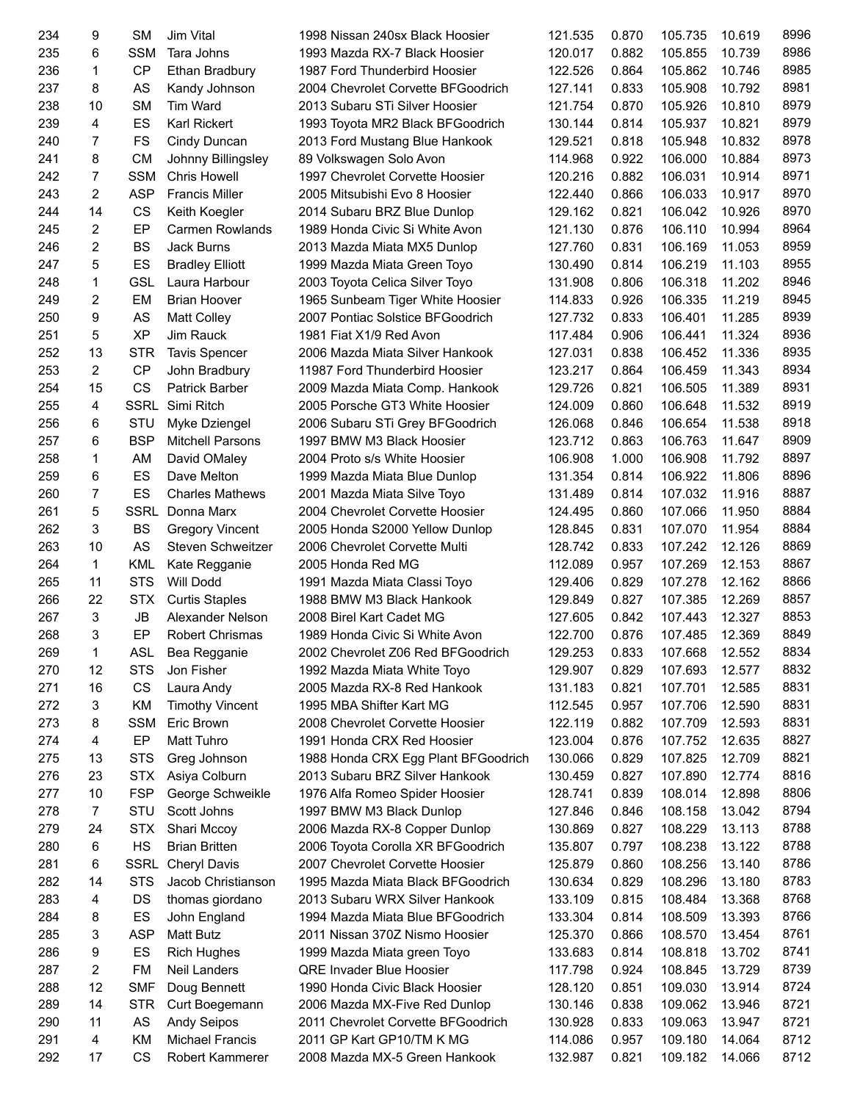| 234 | 9              | <b>SM</b>   | Jim Vital               | 1998 Nissan 240sx Black Hoosier     | 121.535 | 0.870 | 105.735 | 10.619 | 8996 |
|-----|----------------|-------------|-------------------------|-------------------------------------|---------|-------|---------|--------|------|
| 235 | 6              | <b>SSM</b>  | Tara Johns              | 1993 Mazda RX-7 Black Hoosier       | 120.017 | 0.882 | 105.855 | 10.739 | 8986 |
| 236 | 1              | CP          | Ethan Bradbury          | 1987 Ford Thunderbird Hoosier       | 122.526 | 0.864 | 105.862 | 10.746 | 8985 |
| 237 | 8              | AS          | Kandy Johnson           | 2004 Chevrolet Corvette BFGoodrich  | 127.141 | 0.833 | 105.908 | 10.792 | 8981 |
| 238 | 10             | <b>SM</b>   | Tim Ward                | 2013 Subaru STi Silver Hoosier      | 121.754 | 0.870 | 105.926 | 10.810 | 8979 |
| 239 | 4              | ES          | Karl Rickert            | 1993 Toyota MR2 Black BFGoodrich    | 130.144 | 0.814 | 105.937 | 10.821 | 8979 |
| 240 | 7              | <b>FS</b>   | Cindy Duncan            | 2013 Ford Mustang Blue Hankook      | 129.521 | 0.818 | 105.948 | 10.832 | 8978 |
| 241 | 8              | CM          | Johnny Billingsley      | 89 Volkswagen Solo Avon             | 114.968 | 0.922 | 106.000 | 10.884 | 8973 |
| 242 | 7              | <b>SSM</b>  | <b>Chris Howell</b>     | 1997 Chevrolet Corvette Hoosier     | 120.216 | 0.882 | 106.031 | 10.914 | 8971 |
|     | $\overline{2}$ | <b>ASP</b>  |                         |                                     |         |       |         |        | 8970 |
| 243 |                |             | <b>Francis Miller</b>   | 2005 Mitsubishi Evo 8 Hoosier       | 122.440 | 0.866 | 106.033 | 10.917 |      |
| 244 | 14             | CS          | Keith Koegler           | 2014 Subaru BRZ Blue Dunlop         | 129.162 | 0.821 | 106.042 | 10.926 | 8970 |
| 245 | 2              | EP          | <b>Carmen Rowlands</b>  | 1989 Honda Civic Si White Avon      | 121.130 | 0.876 | 106.110 | 10.994 | 8964 |
| 246 | 2              | <b>BS</b>   | Jack Burns              | 2013 Mazda Miata MX5 Dunlop         | 127.760 | 0.831 | 106.169 | 11.053 | 8959 |
| 247 | 5              | ES          | <b>Bradley Elliott</b>  | 1999 Mazda Miata Green Toyo         | 130.490 | 0.814 | 106.219 | 11.103 | 8955 |
| 248 | 1              | <b>GSL</b>  | Laura Harbour           | 2003 Toyota Celica Silver Toyo      | 131.908 | 0.806 | 106.318 | 11.202 | 8946 |
| 249 | 2              | EM          | <b>Brian Hoover</b>     | 1965 Sunbeam Tiger White Hoosier    | 114.833 | 0.926 | 106.335 | 11.219 | 8945 |
| 250 | 9              | AS          | <b>Matt Colley</b>      | 2007 Pontiac Solstice BFGoodrich    | 127.732 | 0.833 | 106.401 | 11.285 | 8939 |
| 251 | 5              | <b>XP</b>   | Jim Rauck               | 1981 Fiat X1/9 Red Avon             | 117.484 | 0.906 | 106.441 | 11.324 | 8936 |
| 252 | 13             | <b>STR</b>  | <b>Tavis Spencer</b>    | 2006 Mazda Miata Silver Hankook     | 127.031 | 0.838 | 106.452 | 11.336 | 8935 |
| 253 | 2              | <b>CP</b>   | John Bradbury           | 11987 Ford Thunderbird Hoosier      | 123.217 | 0.864 | 106.459 | 11.343 | 8934 |
| 254 | 15             | <b>CS</b>   | <b>Patrick Barber</b>   | 2009 Mazda Miata Comp. Hankook      | 129.726 | 0.821 | 106.505 | 11.389 | 8931 |
| 255 | 4              | <b>SSRL</b> | Simi Ritch              | 2005 Porsche GT3 White Hoosier      | 124.009 | 0.860 | 106.648 | 11.532 | 8919 |
| 256 | 6              | STU         | Myke Dziengel           | 2006 Subaru STi Grey BFGoodrich     | 126.068 | 0.846 | 106.654 | 11.538 | 8918 |
| 257 | 6              | <b>BSP</b>  | <b>Mitchell Parsons</b> | 1997 BMW M3 Black Hoosier           | 123.712 | 0.863 | 106.763 | 11.647 | 8909 |
| 258 | 1              | AM          | David OMaley            | 2004 Proto s/s White Hoosier        | 106.908 | 1.000 | 106.908 | 11.792 | 8897 |
| 259 | 6              | ES          | Dave Melton             | 1999 Mazda Miata Blue Dunlop        | 131.354 | 0.814 | 106.922 | 11.806 | 8896 |
| 260 | 7              | ES          | <b>Charles Mathews</b>  | 2001 Mazda Miata Silve Toyo         | 131.489 | 0.814 | 107.032 | 11.916 | 8887 |
| 261 | 5              | <b>SSRL</b> | Donna Marx              | 2004 Chevrolet Corvette Hoosier     | 124.495 | 0.860 | 107.066 | 11.950 | 8884 |
|     | 3              | <b>BS</b>   |                         |                                     |         |       |         |        | 8884 |
| 262 | 10             | AS          | <b>Gregory Vincent</b>  | 2005 Honda S2000 Yellow Dunlop      | 128.845 | 0.831 | 107.070 | 11.954 | 8869 |
| 263 |                |             | Steven Schweitzer       | 2006 Chevrolet Corvette Multi       | 128.742 | 0.833 | 107.242 | 12.126 |      |
| 264 | 1              | <b>KML</b>  | Kate Regganie           | 2005 Honda Red MG                   | 112.089 | 0.957 | 107.269 | 12.153 | 8867 |
| 265 | 11             | <b>STS</b>  | Will Dodd               | 1991 Mazda Miata Classi Toyo        | 129.406 | 0.829 | 107.278 | 12.162 | 8866 |
| 266 | 22             | <b>STX</b>  | <b>Curtis Staples</b>   | 1988 BMW M3 Black Hankook           | 129.849 | 0.827 | 107.385 | 12.269 | 8857 |
| 267 | 3              | JB          | Alexander Nelson        | 2008 Birel Kart Cadet MG            | 127.605 | 0.842 | 107.443 | 12.327 | 8853 |
| 268 | 3              | EP          | <b>Robert Chrismas</b>  | 1989 Honda Civic Si White Avon      | 122.700 | 0.876 | 107.485 | 12.369 | 8849 |
| 269 | 1              | <b>ASL</b>  | Bea Regganie            | 2002 Chevrolet Z06 Red BFGoodrich   | 129.253 | 0.833 | 107.668 | 12.552 | 8834 |
| 270 | 12             | <b>STS</b>  | Jon Fisher              | 1992 Mazda Miata White Toyo         | 129.907 | 0.829 | 107.693 | 12.577 | 8832 |
| 271 | 16             | CS          | Laura Andy              | 2005 Mazda RX-8 Red Hankook         | 131.183 | 0.821 | 107.701 | 12.585 | 8831 |
| 272 | 3              | KM          | <b>Timothy Vincent</b>  | 1995 MBA Shifter Kart MG            | 112.545 | 0.957 | 107.706 | 12.590 | 8831 |
| 273 | 8              | <b>SSM</b>  | Eric Brown              | 2008 Chevrolet Corvette Hoosier     | 122.119 | 0.882 | 107.709 | 12.593 | 8831 |
| 274 | 4              | EP          | <b>Matt Tuhro</b>       | 1991 Honda CRX Red Hoosier          | 123.004 | 0.876 | 107.752 | 12.635 | 8827 |
| 275 | 13             | <b>STS</b>  | Greg Johnson            | 1988 Honda CRX Egg Plant BFGoodrich | 130.066 | 0.829 | 107.825 | 12.709 | 8821 |
| 276 | 23             | <b>STX</b>  | Asiya Colburn           | 2013 Subaru BRZ Silver Hankook      | 130.459 | 0.827 | 107.890 | 12.774 | 8816 |
| 277 | 10             | <b>FSP</b>  | George Schweikle        | 1976 Alfa Romeo Spider Hoosier      | 128.741 | 0.839 | 108.014 | 12.898 | 8806 |
| 278 | 7              | STU         | Scott Johns             | 1997 BMW M3 Black Dunlop            | 127.846 | 0.846 | 108.158 | 13.042 | 8794 |
| 279 | 24             | <b>STX</b>  | Shari Mccoy             | 2006 Mazda RX-8 Copper Dunlop       | 130.869 | 0.827 | 108.229 | 13.113 | 8788 |
| 280 | 6              | HS          | <b>Brian Britten</b>    | 2006 Toyota Corolla XR BFGoodrich   | 135.807 | 0.797 | 108.238 | 13.122 | 8788 |
| 281 | 6              | <b>SSRL</b> | <b>Cheryl Davis</b>     | 2007 Chevrolet Corvette Hoosier     | 125.879 | 0.860 | 108.256 | 13.140 | 8786 |
| 282 | 14             | <b>STS</b>  | Jacob Christianson      | 1995 Mazda Miata Black BFGoodrich   | 130.634 | 0.829 | 108.296 | 13.180 | 8783 |
| 283 | 4              | DS          |                         | 2013 Subaru WRX Silver Hankook      |         |       | 108.484 | 13.368 | 8768 |
|     |                |             | thomas giordano         |                                     | 133.109 | 0.815 |         |        |      |
| 284 | 8              | ES          | John England            | 1994 Mazda Miata Blue BFGoodrich    | 133.304 | 0.814 | 108.509 | 13.393 | 8766 |
| 285 | 3              | <b>ASP</b>  | Matt Butz               | 2011 Nissan 370Z Nismo Hoosier      | 125.370 | 0.866 | 108.570 | 13.454 | 8761 |
| 286 | 9              | ES          | <b>Rich Hughes</b>      | 1999 Mazda Miata green Toyo         | 133.683 | 0.814 | 108.818 | 13.702 | 8741 |
| 287 | 2              | <b>FM</b>   | <b>Neil Landers</b>     | <b>QRE Invader Blue Hoosier</b>     | 117.798 | 0.924 | 108.845 | 13.729 | 8739 |
| 288 | 12             | <b>SMF</b>  | Doug Bennett            | 1990 Honda Civic Black Hoosier      | 128.120 | 0.851 | 109.030 | 13.914 | 8724 |
| 289 | 14             | <b>STR</b>  | Curt Boegemann          | 2006 Mazda MX-Five Red Dunlop       | 130.146 | 0.838 | 109.062 | 13.946 | 8721 |
| 290 | 11             | AS          | <b>Andy Seipos</b>      | 2011 Chevrolet Corvette BFGoodrich  | 130.928 | 0.833 | 109.063 | 13.947 | 8721 |
| 291 | 4              | KM          | <b>Michael Francis</b>  | 2011 GP Kart GP10/TM K MG           | 114.086 | 0.957 | 109.180 | 14.064 | 8712 |
| 292 | 17             | <b>CS</b>   | Robert Kammerer         | 2008 Mazda MX-5 Green Hankook       | 132.987 | 0.821 | 109.182 | 14.066 | 8712 |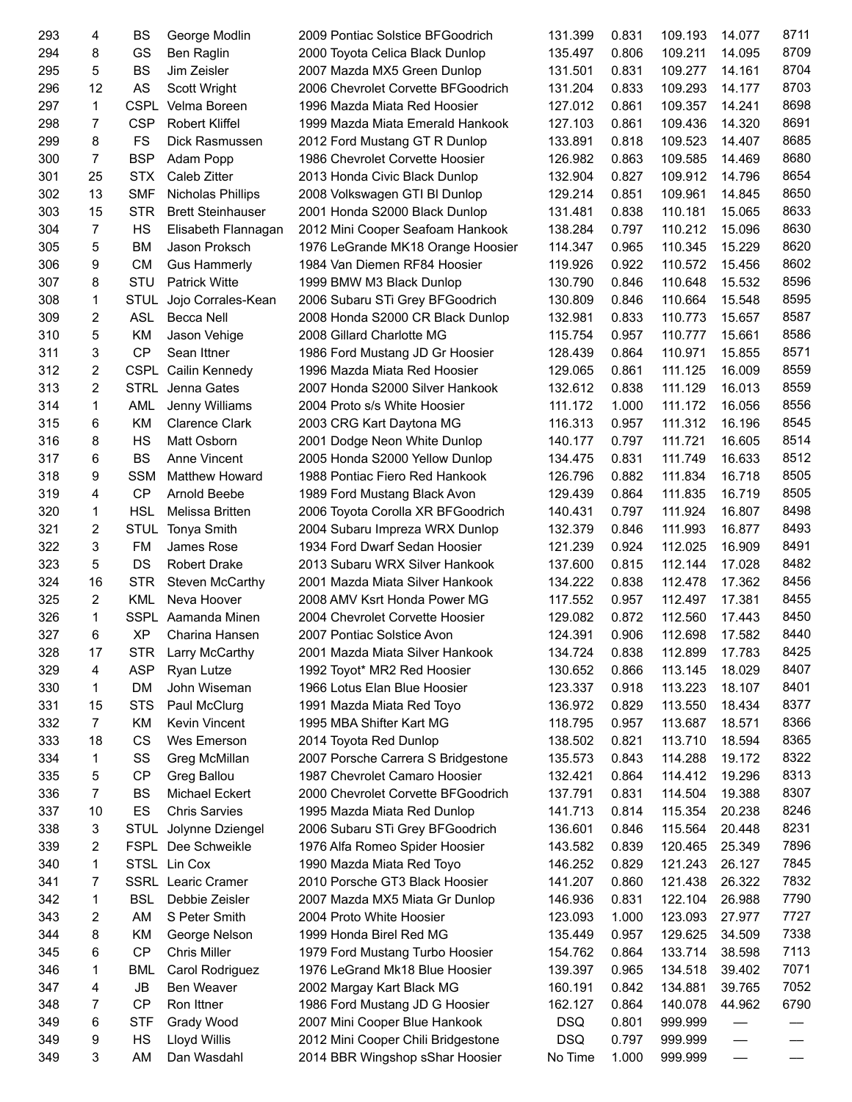| 293 | 4              | <b>BS</b>   | George Modlin             | 2009 Pontiac Solstice BFGoodrich   | 131.399    | 0.831 | 109.193 | 14.077                   | 8711 |
|-----|----------------|-------------|---------------------------|------------------------------------|------------|-------|---------|--------------------------|------|
| 294 | 8              | GS          | Ben Raglin                | 2000 Toyota Celica Black Dunlop    | 135.497    | 0.806 | 109.211 | 14.095                   | 8709 |
| 295 | 5              | <b>BS</b>   | Jim Zeisler               | 2007 Mazda MX5 Green Dunlop        | 131.501    | 0.831 | 109.277 | 14.161                   | 8704 |
| 296 | 12             | AS          | Scott Wright              | 2006 Chevrolet Corvette BFGoodrich | 131.204    | 0.833 | 109.293 | 14.177                   | 8703 |
| 297 | $\mathbf{1}$   | <b>CSPL</b> | Velma Boreen              | 1996 Mazda Miata Red Hoosier       | 127.012    | 0.861 | 109.357 | 14.241                   | 8698 |
| 298 | $\overline{7}$ | <b>CSP</b>  | <b>Robert Kliffel</b>     | 1999 Mazda Miata Emerald Hankook   | 127.103    | 0.861 | 109.436 | 14.320                   | 8691 |
| 299 | 8              | <b>FS</b>   | Dick Rasmussen            | 2012 Ford Mustang GT R Dunlop      | 133.891    | 0.818 | 109.523 | 14.407                   | 8685 |
| 300 | $\overline{7}$ | <b>BSP</b>  | Adam Popp                 | 1986 Chevrolet Corvette Hoosier    | 126.982    | 0.863 | 109.585 | 14.469                   | 8680 |
| 301 | 25             | <b>STX</b>  | Caleb Zitter              | 2013 Honda Civic Black Dunlop      | 132.904    | 0.827 | 109.912 | 14.796                   | 8654 |
| 302 | 13             | <b>SMF</b>  | <b>Nicholas Phillips</b>  | 2008 Volkswagen GTI BI Dunlop      | 129.214    | 0.851 | 109.961 | 14.845                   | 8650 |
| 303 | 15             | <b>STR</b>  | <b>Brett Steinhauser</b>  | 2001 Honda S2000 Black Dunlop      | 131.481    | 0.838 | 110.181 | 15.065                   | 8633 |
| 304 | $\overline{7}$ | HS          | Elisabeth Flannagan       | 2012 Mini Cooper Seafoam Hankook   | 138.284    | 0.797 | 110.212 | 15.096                   | 8630 |
| 305 | 5              | <b>BM</b>   | Jason Proksch             | 1976 LeGrande MK18 Orange Hoosier  | 114.347    | 0.965 | 110.345 | 15.229                   | 8620 |
| 306 | 9              | <b>CM</b>   | <b>Gus Hammerly</b>       | 1984 Van Diemen RF84 Hoosier       | 119.926    | 0.922 | 110.572 | 15.456                   | 8602 |
| 307 | 8              | <b>STU</b>  | <b>Patrick Witte</b>      |                                    |            |       | 110.648 | 15.532                   | 8596 |
|     |                |             |                           | 1999 BMW M3 Black Dunlop           | 130.790    | 0.846 |         |                          |      |
| 308 | 1              | <b>STUL</b> | Jojo Corrales-Kean        | 2006 Subaru STi Grey BFGoodrich    | 130.809    | 0.846 | 110.664 | 15.548                   | 8595 |
| 309 | 2              | <b>ASL</b>  | Becca Nell                | 2008 Honda S2000 CR Black Dunlop   | 132.981    | 0.833 | 110.773 | 15.657                   | 8587 |
| 310 | 5              | <b>KM</b>   | Jason Vehige              | 2008 Gillard Charlotte MG          | 115.754    | 0.957 | 110.777 | 15.661                   | 8586 |
| 311 | 3              | CP          | Sean Ittner               | 1986 Ford Mustang JD Gr Hoosier    | 128.439    | 0.864 | 110.971 | 15.855                   | 8571 |
| 312 | 2              | <b>CSPL</b> | Cailin Kennedy            | 1996 Mazda Miata Red Hoosier       | 129.065    | 0.861 | 111.125 | 16.009                   | 8559 |
| 313 | 2              | <b>STRL</b> | Jenna Gates               | 2007 Honda S2000 Silver Hankook    | 132.612    | 0.838 | 111.129 | 16.013                   | 8559 |
| 314 | $\mathbf{1}$   | AML         | Jenny Williams            | 2004 Proto s/s White Hoosier       | 111.172    | 1.000 | 111.172 | 16.056                   | 8556 |
| 315 | 6              | KM          | <b>Clarence Clark</b>     | 2003 CRG Kart Daytona MG           | 116.313    | 0.957 | 111.312 | 16.196                   | 8545 |
| 316 | 8              | <b>HS</b>   | Matt Osborn               | 2001 Dodge Neon White Dunlop       | 140.177    | 0.797 | 111.721 | 16.605                   | 8514 |
| 317 | 6              | <b>BS</b>   | Anne Vincent              | 2005 Honda S2000 Yellow Dunlop     | 134.475    | 0.831 | 111.749 | 16.633                   | 8512 |
| 318 | 9              | <b>SSM</b>  | Matthew Howard            | 1988 Pontiac Fiero Red Hankook     | 126.796    | 0.882 | 111.834 | 16.718                   | 8505 |
| 319 | 4              | <b>CP</b>   | Arnold Beebe              | 1989 Ford Mustang Black Avon       | 129.439    | 0.864 | 111.835 | 16.719                   | 8505 |
| 320 | 1              | <b>HSL</b>  | Melissa Britten           | 2006 Toyota Corolla XR BFGoodrich  | 140.431    | 0.797 | 111.924 | 16.807                   | 8498 |
| 321 | 2              | <b>STUL</b> | Tonya Smith               | 2004 Subaru Impreza WRX Dunlop     | 132.379    | 0.846 | 111.993 | 16.877                   | 8493 |
| 322 | 3              | <b>FM</b>   | James Rose                | 1934 Ford Dwarf Sedan Hoosier      | 121.239    | 0.924 | 112.025 | 16.909                   | 8491 |
| 323 | 5              | DS          | <b>Robert Drake</b>       | 2013 Subaru WRX Silver Hankook     | 137.600    | 0.815 | 112.144 | 17.028                   | 8482 |
| 324 | 16             | <b>STR</b>  | <b>Steven McCarthy</b>    | 2001 Mazda Miata Silver Hankook    | 134.222    | 0.838 | 112.478 | 17.362                   | 8456 |
| 325 | $\overline{2}$ | <b>KML</b>  | Neva Hoover               | 2008 AMV Ksrt Honda Power MG       | 117.552    | 0.957 | 112.497 | 17.381                   | 8455 |
| 326 | 1              |             | SSPL Aamanda Minen        | 2004 Chevrolet Corvette Hoosier    | 129.082    | 0.872 | 112.560 | 17.443                   | 8450 |
| 327 | 6              | <b>XP</b>   | Charina Hansen            | 2007 Pontiac Solstice Avon         | 124.391    | 0.906 | 112.698 | 17.582                   | 8440 |
|     |                |             |                           |                                    |            |       |         |                          |      |
| 328 | 17             | STR         | Larry McCarthy            | 2001 Mazda Miata Silver Hankook    | 134.724    | 0.838 | 112.899 | 17.783                   | 8425 |
| 329 | 4              | <b>ASP</b>  | Ryan Lutze                | 1992 Toyot* MR2 Red Hoosier        | 130.652    | 0.866 | 113.145 | 18.029                   | 8407 |
| 330 | 1              | <b>DM</b>   | John Wiseman              | 1966 Lotus Elan Blue Hoosier       | 123.337    | 0.918 | 113.223 | 18.107                   | 8401 |
| 331 | 15             | <b>STS</b>  | Paul McClurg              | 1991 Mazda Miata Red Toyo          | 136.972    | 0.829 | 113.550 | 18.434                   | 8377 |
| 332 | $\overline{7}$ | KM          | Kevin Vincent             | 1995 MBA Shifter Kart MG           | 118.795    | 0.957 | 113.687 | 18.571                   | 8366 |
| 333 | 18             | CS          | Wes Emerson               | 2014 Toyota Red Dunlop             | 138.502    | 0.821 | 113.710 | 18.594                   | 8365 |
| 334 | 1              | SS          | Greg McMillan             | 2007 Porsche Carrera S Bridgestone | 135.573    | 0.843 | 114.288 | 19.172                   | 8322 |
| 335 | 5              | <b>CP</b>   | Greg Ballou               | 1987 Chevrolet Camaro Hoosier      | 132.421    | 0.864 | 114.412 | 19.296                   | 8313 |
| 336 | 7              | <b>BS</b>   | Michael Eckert            | 2000 Chevrolet Corvette BFGoodrich | 137.791    | 0.831 | 114.504 | 19.388                   | 8307 |
| 337 | 10             | ES          | <b>Chris Sarvies</b>      | 1995 Mazda Miata Red Dunlop        | 141.713    | 0.814 | 115.354 | 20.238                   | 8246 |
| 338 | 3              | <b>STUL</b> | Jolynne Dziengel          | 2006 Subaru STi Grey BFGoodrich    | 136.601    | 0.846 | 115.564 | 20.448                   | 8231 |
| 339 | 2              |             | FSPL Dee Schweikle        | 1976 Alfa Romeo Spider Hoosier     | 143.582    | 0.839 | 120.465 | 25.349                   | 7896 |
| 340 | 1              |             | STSL Lin Cox              | 1990 Mazda Miata Red Toyo          | 146.252    | 0.829 | 121.243 | 26.127                   | 7845 |
| 341 | 7              |             | <b>SSRL</b> Learic Cramer | 2010 Porsche GT3 Black Hoosier     | 141.207    | 0.860 | 121.438 | 26.322                   | 7832 |
| 342 | 1              | <b>BSL</b>  | Debbie Zeisler            | 2007 Mazda MX5 Miata Gr Dunlop     | 146.936    | 0.831 | 122.104 | 26.988                   | 7790 |
| 343 | 2              | AM          | S Peter Smith             | 2004 Proto White Hoosier           | 123.093    | 1.000 | 123.093 | 27.977                   | 7727 |
| 344 | 8              | KM          | George Nelson             | 1999 Honda Birel Red MG            | 135.449    | 0.957 | 129.625 | 34.509                   | 7338 |
| 345 | 6              | CP          | <b>Chris Miller</b>       | 1979 Ford Mustang Turbo Hoosier    | 154.762    | 0.864 | 133.714 | 38.598                   | 7113 |
| 346 | 1              | <b>BML</b>  | Carol Rodriguez           | 1976 LeGrand Mk18 Blue Hoosier     | 139.397    | 0.965 | 134.518 | 39.402                   | 7071 |
| 347 | 4              | JB          | Ben Weaver                | 2002 Margay Kart Black MG          | 160.191    | 0.842 | 134.881 | 39.765                   | 7052 |
| 348 | 7              | CP          | Ron Ittner                | 1986 Ford Mustang JD G Hoosier     | 162.127    | 0.864 | 140.078 | 44.962                   | 6790 |
| 349 | 6              | <b>STF</b>  |                           |                                    | <b>DSQ</b> | 0.801 | 999.999 |                          |      |
|     |                |             | Grady Wood                | 2007 Mini Cooper Blue Hankook      |            |       |         | $\overline{\phantom{0}}$ |      |
| 349 | 9              | HS          | Lloyd Willis              | 2012 Mini Cooper Chili Bridgestone | <b>DSQ</b> | 0.797 | 999.999 | $\overline{\phantom{0}}$ |      |
| 349 | 3              | AM          | Dan Wasdahl               | 2014 BBR Wingshop sShar Hoosier    | No Time    | 1.000 | 999.999 | —                        |      |